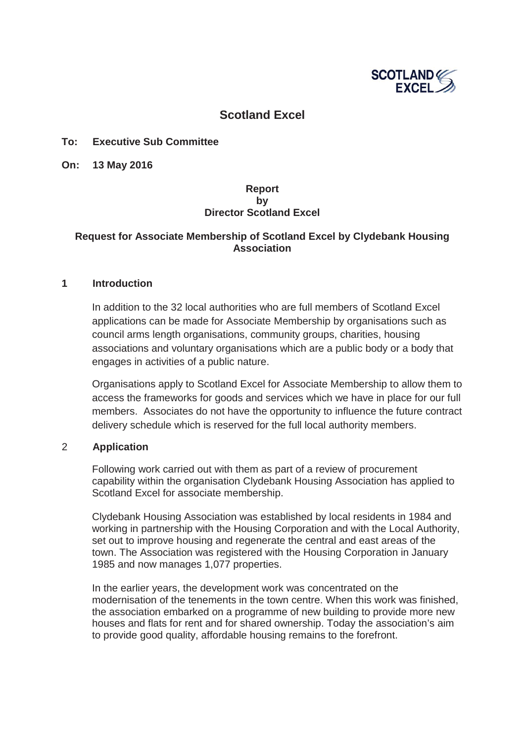

# **Scotland Excel**

#### **To: Executive Sub Committee**

**On: 13 May 2016**

### **Report by Director Scotland Excel**

### **Request for Associate Membership of Scotland Excel by Clydebank Housing Association**

#### **1 Introduction**

In addition to the 32 local authorities who are full members of Scotland Excel applications can be made for Associate Membership by organisations such as council arms length organisations, community groups, charities, housing associations and voluntary organisations which are a public body or a body that engages in activities of a public nature.

Organisations apply to Scotland Excel for Associate Membership to allow them to access the frameworks for goods and services which we have in place for our full members. Associates do not have the opportunity to influence the future contract delivery schedule which is reserved for the full local authority members.

#### 2 **Application**

Following work carried out with them as part of a review of procurement capability within the organisation Clydebank Housing Association has applied to Scotland Excel for associate membership.

Clydebank Housing Association was established by local residents in 1984 and working in partnership with the Housing Corporation and with the Local Authority, set out to improve housing and regenerate the central and east areas of the town. The Association was registered with the Housing Corporation in January 1985 and now manages 1,077 properties.

In the earlier years, the development work was concentrated on the modernisation of the tenements in the town centre. When this work was finished, the association embarked on a programme of new building to provide more new houses and flats for rent and for shared ownership. Today the association's aim to provide good quality, affordable housing remains to the forefront.